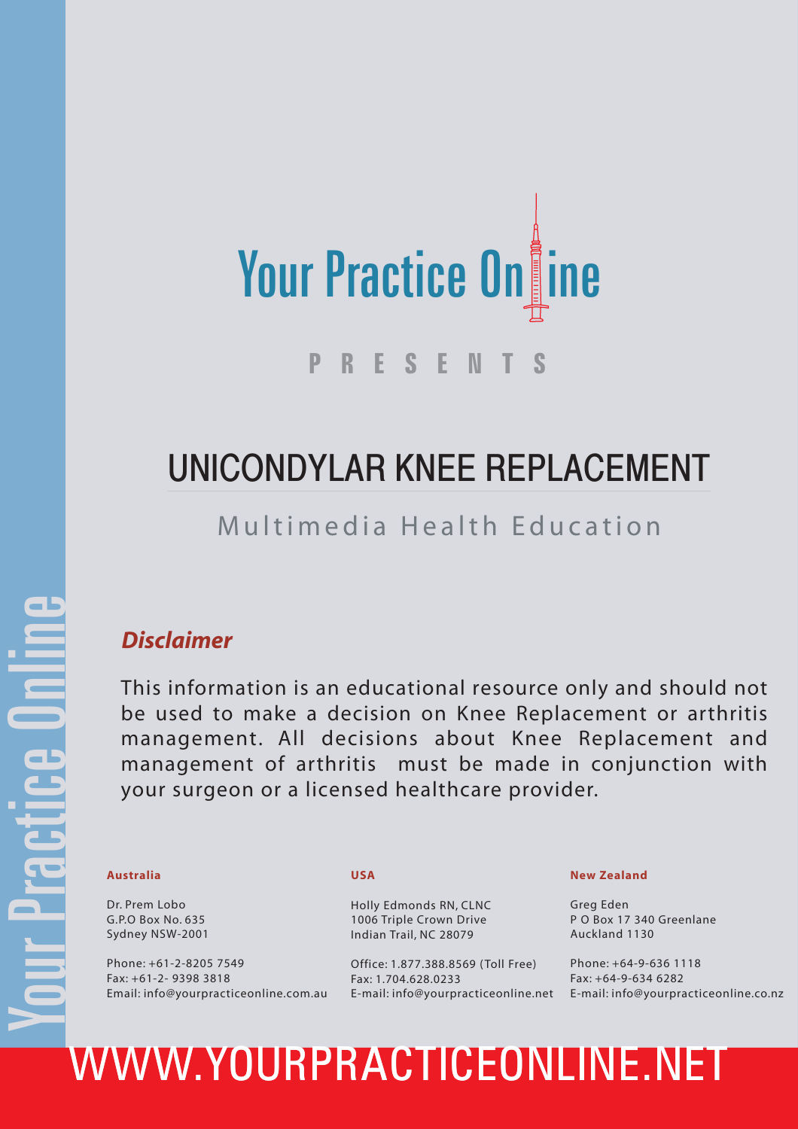

### UNICONDYLAR KNEE REPLACEMENT

### Multimedia Health Education

### *Disclaimer*

This information is an educational resource only and should not be used to make a decision on Knee Replacement or arthritis management. All decisions about Knee Replacement and management of arthritis must be made in conjunction with your surgeon or a licensed healthcare provider.

Dr. Prem Lobo G.P.O Box No. 635 Sydney NSW-2001

Phone: +61-2-8205 7549 Fax: +61-2- 9398 3818 Email: info@yourpracticeonline.com.au

#### **USA**

Holly Edmonds RN, CLNC 1006 Triple Crown Drive Indian Trail, NC 28079

Office: 1.877.388.8569 ( Toll Free) Fax: 1.704.628.0233

#### **New Zealand**

Greg Eden P O Box 17 340 Greenlane Auckland 1130

E-mail: info@yourpracticeonline.net E-mail: info@yourpracticeonline.co.nz Phone: +64-9-636 1118 Fax: +64-9-634 6282

# Australia USA<br>
Dr. Prem Lobo<br>
G.P.O Box No. 635<br>
Sydney NSW-2001<br>
Phone: +61-2-8205 7549<br>
Phone: +61-2-8205 7549<br>
Phone: +61-2-8205 7549<br>
Phone: +61-2-8205 7549<br>
Fax: +61-2-9398 3818<br>
Fax: +61-2-9398 3818<br>
Email: info@your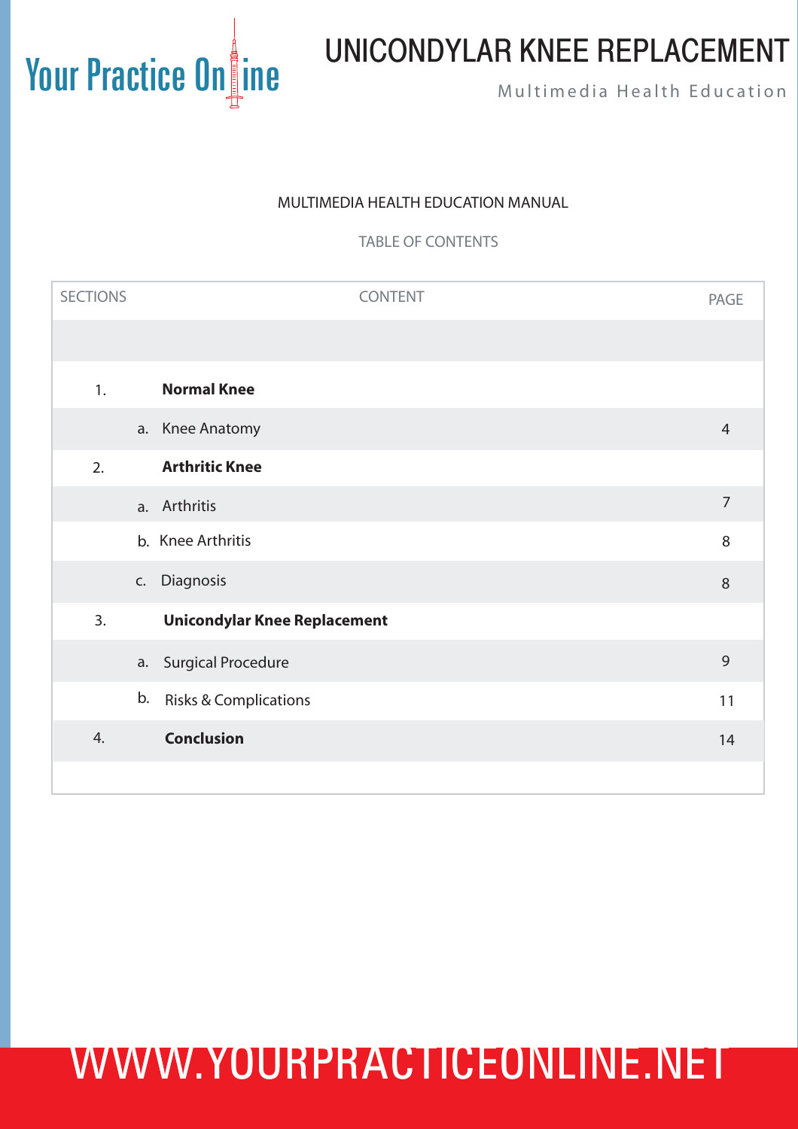### UNICONDYLAR KNEE REPLACEMENT

#### MULTIMEDIA HEALTH EDUCATION MANUAL

TABLE OF CONTENTS

| <b>SECTIONS</b> | <b>CONTENT</b>                      | <b>PAGE</b>    |
|-----------------|-------------------------------------|----------------|
|                 |                                     |                |
| 1.              | <b>Normal Knee</b>                  |                |
|                 | a. Knee Anatomy                     | $\overline{4}$ |
| 2.              | <b>Arthritic Knee</b>               |                |
|                 | a. Arthritis                        | $\overline{7}$ |
|                 | b. Knee Arthritis                   | $\,8\,$        |
| C.              | Diagnosis                           | $\,8\,$        |
| 3.              | <b>Unicondylar Knee Replacement</b> |                |
|                 | a. Surgical Procedure               | 9              |
| b.              | <b>Risks &amp; Complications</b>    | 11             |
| 4.              | <b>Conclusion</b>                   | 14             |
|                 |                                     |                |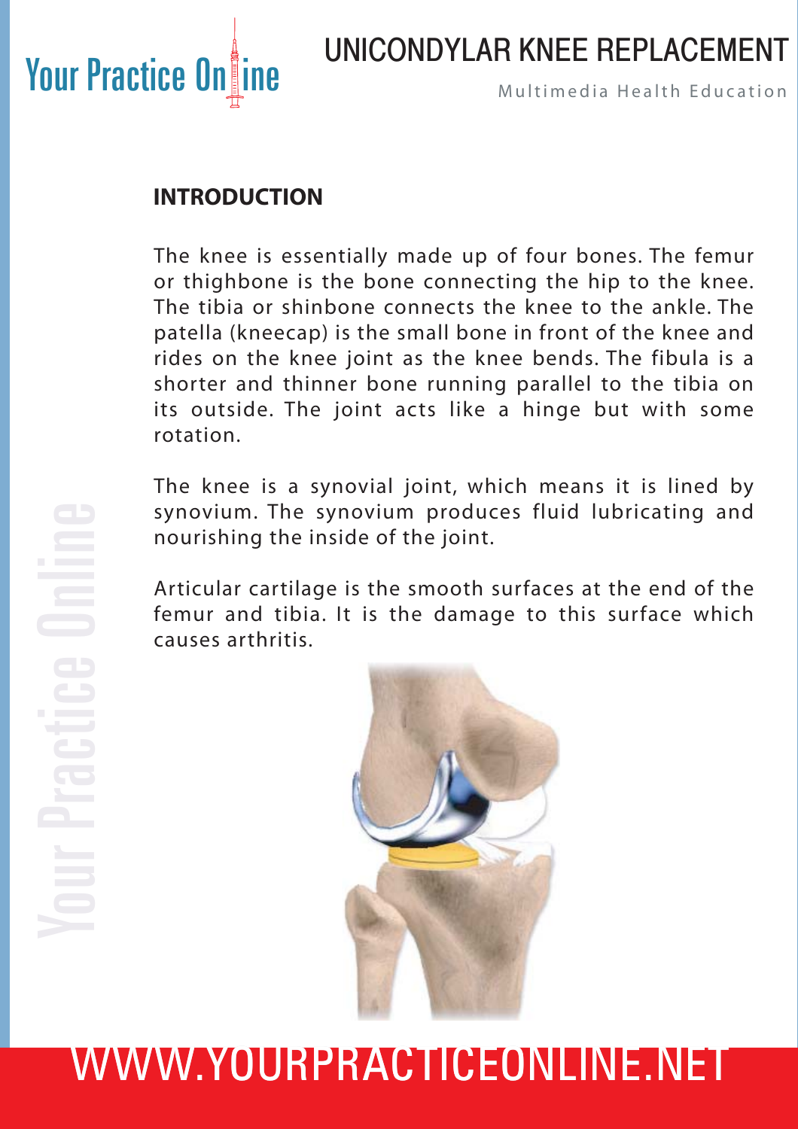

### UNICONDYLAR KNEE REPLACEMENT

### **INTRODUCTION**

The knee is essentially made up of four bones. The femur or thighbone is the bone connecting the hip to the knee. The tibia or shinbone connects the knee to the ankle. The patella (kneecap) is the small bone in front of the knee and rides on the knee joint as the knee bends. The fibula is a shorter and thinner bone running parallel to the tibia on its outside. The joint acts like a hinge but with some rotation.

The knee is a synovial joint, which means it is lined by synovium. The synovium produces fluid lubricating and nourishing the inside of the joint.

Articular cartilage is the smooth surfaces at the end of the femur and tibia. It is the damage to this surface which causes arthritis.

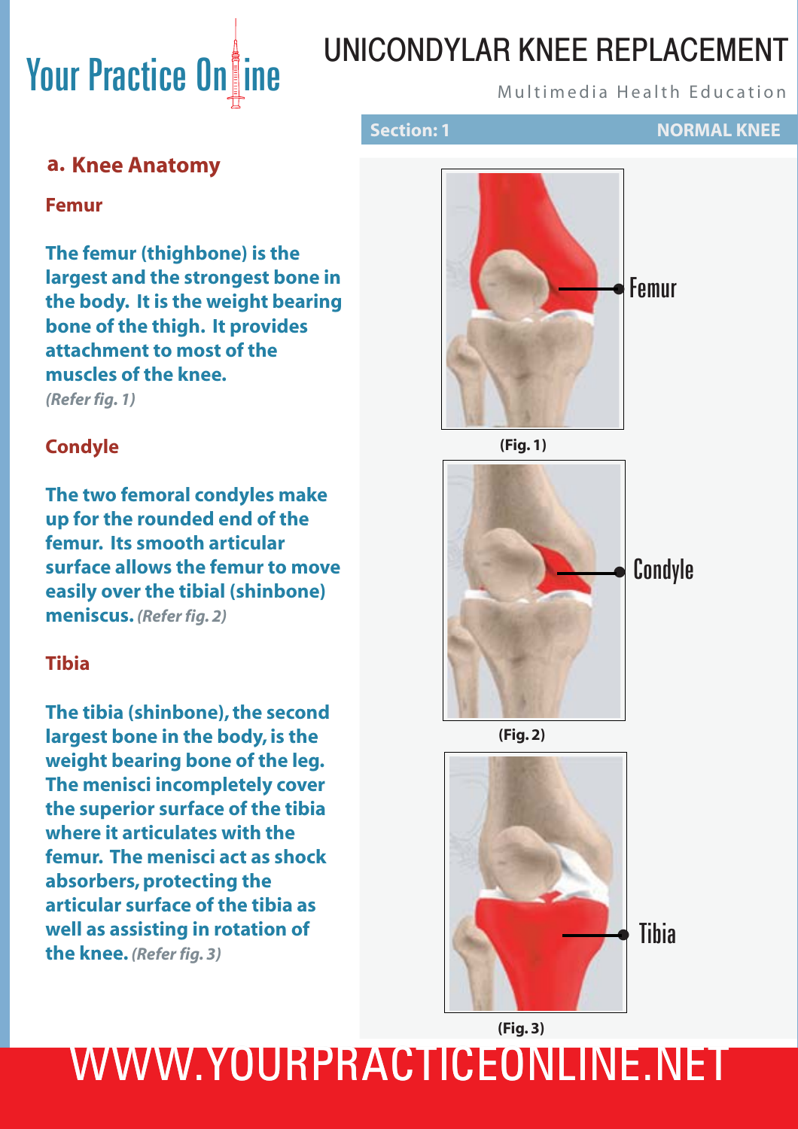## UNICONDYLAR KNEE REPLACEMENT

**Section: 1 NORMAL KNEE** 

#### **a. Knee Anatomy**

**Femur**

**The femur (thighbone) is the largest and the strongest bone in the body. It is the weight bearing bone of the thigh. It provides attachment to most of the muscles of the knee.** *(Refer fig. 1)*

#### **Condyle**

**The two femoral condyles make up for the rounded end of the femur. Its smooth articular surface allows the femur to move easily over the tibial (shinbone) meniscus.** *(Refer fig. 2)*

#### **Tibia**

**The tibia (shinbone), the second largest bone in the body, is the weight bearing bone of the leg. The menisci incompletely cover the superior surface of the tibia where it articulates with the femur. The menisci act as shock absorbers, protecting the articular surface of the tibia as well as assisting in rotation of the knee.** *(Refer fig. 3)*



**(Fig. 1)**



**(Fig. 2)**



**(Fig. 3)**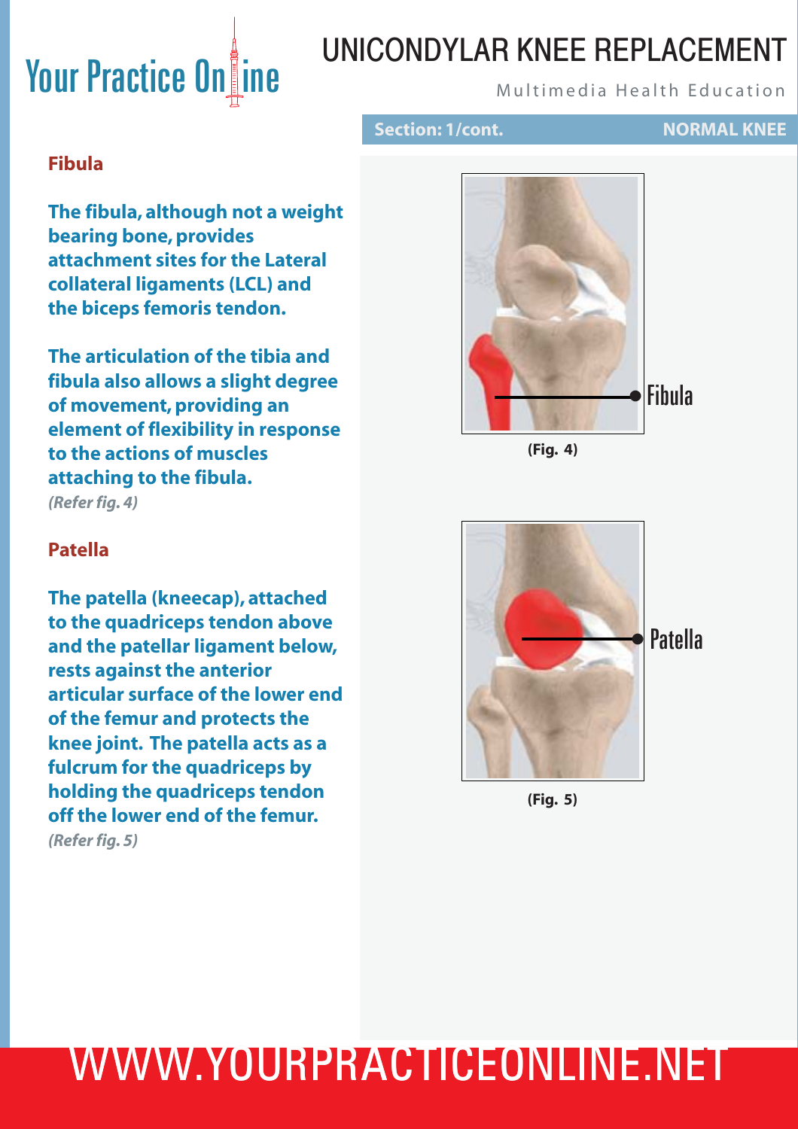### UNICONDYLAR KNEE REPLACEMENT

### **Section: 1/cont. NORMAL KNEE**

### **Fibula**

**The fibula, although not a weight bearing bone, provides attachment sites for the Lateral collateral ligaments (LCL) and the biceps femoris tendon.** 

**The articulation of the tibia and fibula also allows a slight degree of movement, providing an element of flexibility in response to the actions of muscles attaching to the fibula.**  *(Refer fig. 4)*

# Fibula •



#### **Patella**

**The patella (kneecap), attached to the quadriceps tendon above and the patellar ligament below, rests against the anterior articular surface of the lower end of the femur and protects the knee joint. The patella acts as a fulcrum for the quadriceps by holding the quadriceps tendon off the lower end of the femur.**

*(Refer fig. 5)*



**(Fig. 5)**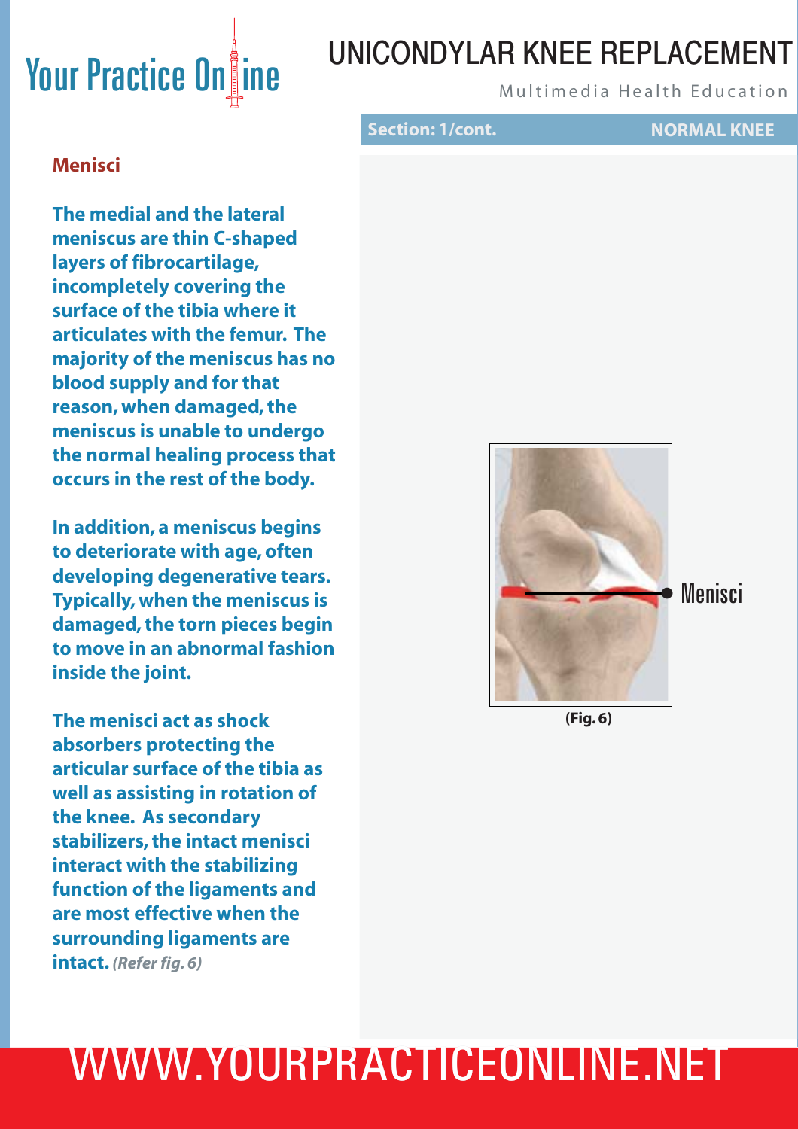### UNICONDYLAR KNEE REPLACEMENT

**Section: 1/cont. NORMAL KNEE**

#### **Menisci**

**The medial and the lateral meniscus are thin C-shaped layers of fibrocartilage, incompletely covering the surface of the tibia where it articulates with the femur. The majority of the meniscus has no blood supply and for that reason, when damaged, the meniscus is unable to undergo the normal healing process that occurs in the rest of the body.** 

**In addition, a meniscus begins to deteriorate with age, often developing degenerative tears. Typically, when the meniscus is damaged, the torn pieces begin to move in an abnormal fashion inside the joint.**

**The menisci act as shock absorbers protecting the articular surface of the tibia as well as assisting in rotation of the knee. As secondary stabilizers, the intact menisci interact with the stabilizing function of the ligaments and are most effective when the surrounding ligaments are intact.** *(Refer fig. 6)*



**(Fig. 6)**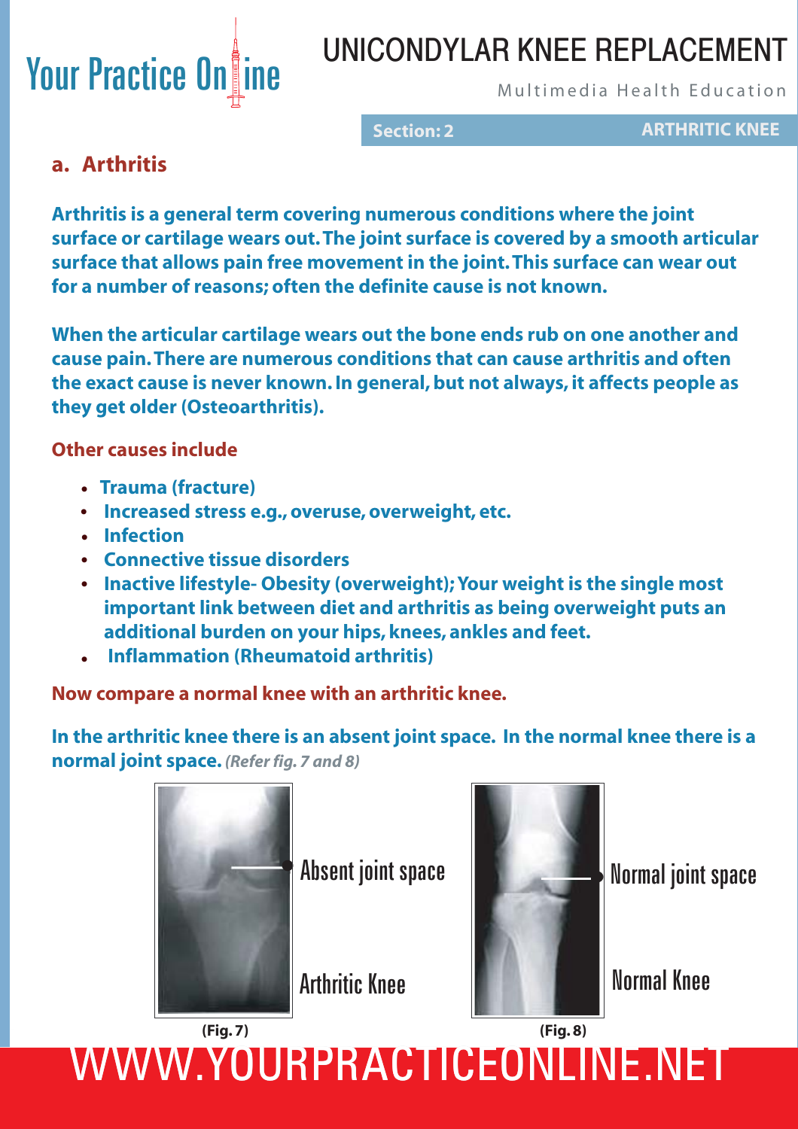### UNICONDYLAR KNEE REPLACEMENT

**Section: 2 ARTHRITIC KNEE**

### **a. Arthritis**

**Arthritis is a general term covering numerous conditions where the joint surface or cartilage wears out. The joint surface is covered by a smooth articular surface that allows pain free movement in the joint. This surface can wear out for a number of reasons; often the definite cause is not known.** 

**When the articular cartilage wears out the bone ends rub on one another and cause pain. There are numerous conditions that can cause arthritis and often the exact cause is never known. In general, but not always, it affects people as they get older (Osteoarthritis).**

**Other causes include**

- **Trauma (fracture) •**
- **Increased stress e.g., overuse, overweight, etc. •**
- **Infection •**
- **Connective tissue disorders •**
- **Inactive lifestyle- Obesity (overweight); Your weight is the single most • important link between diet and arthritis as being overweight puts an additional burden on your hips, knees, ankles and feet.**
- **Inflammation (Rheumatoid arthritis) •**

**Now compare a normal knee with an arthritic knee.**

**In the arthritic knee there is an absent joint space. In the normal knee there is a normal joint space.** *(Refer fig. 7 and 8)*



Absent joint space Normal joint space



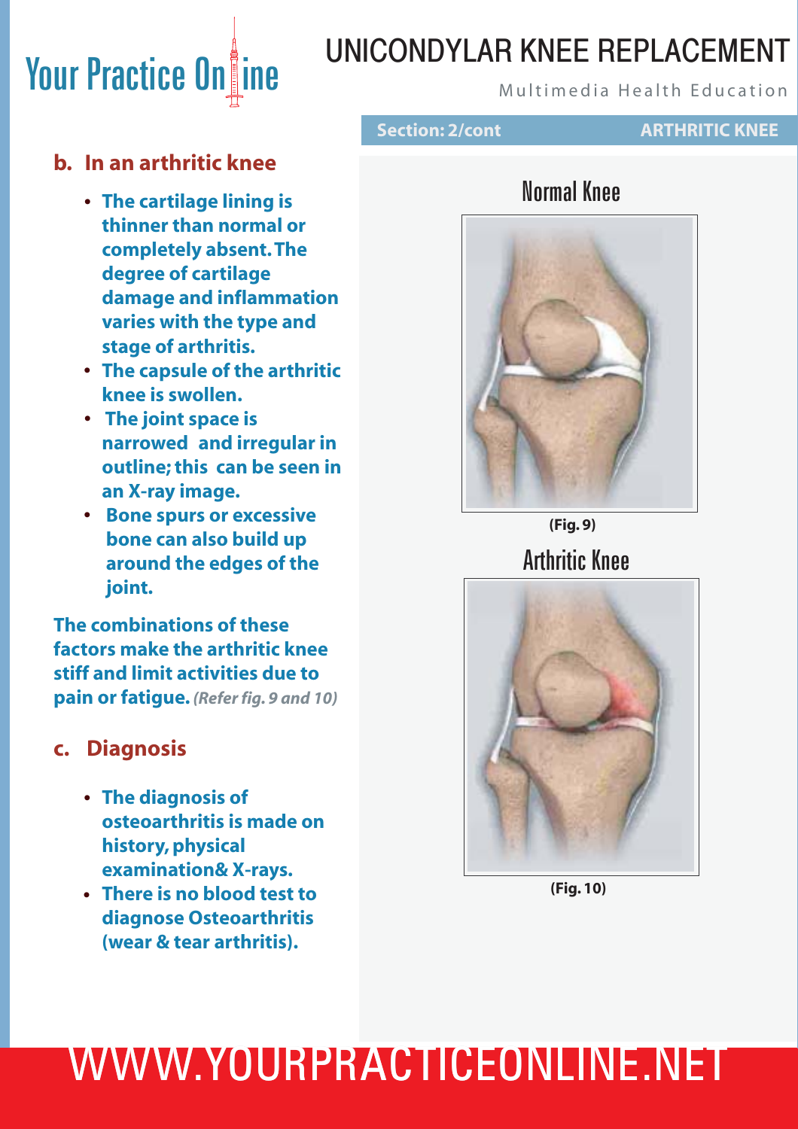### UNICONDYLAR KNEE REPLACEMENT

### **b. In an arthritic knee**

- **The cartilage lining is • thinner than normal or completely absent. The degree of cartilage damage and inflammation varies with the type and stage of arthritis.**
- **The capsule of the arthritic • knee is swollen.**
- **The joint space is • narrowed and irregular in outline; this can be seen in an X-ray image.**
- **Bone spurs or excessive • bone can also build up around the edges of the joint.**

**The combinations of these factors make the arthritic knee stiff and limit activities due to pain or fatigue.** *(Refer fig. 9 and 10)*

#### **c. Diagnosis**

- **The diagnosis of • osteoarthritis is made on history, physical examination& X-rays.**
- **There is no blood test to • diagnose Osteoarthritis (wear & tear arthritis).**



#### **ARTHRITIC KNEE**

### Normal Knee



Arthritic Knee **(Fig. 9)**



**(Fig. 10)**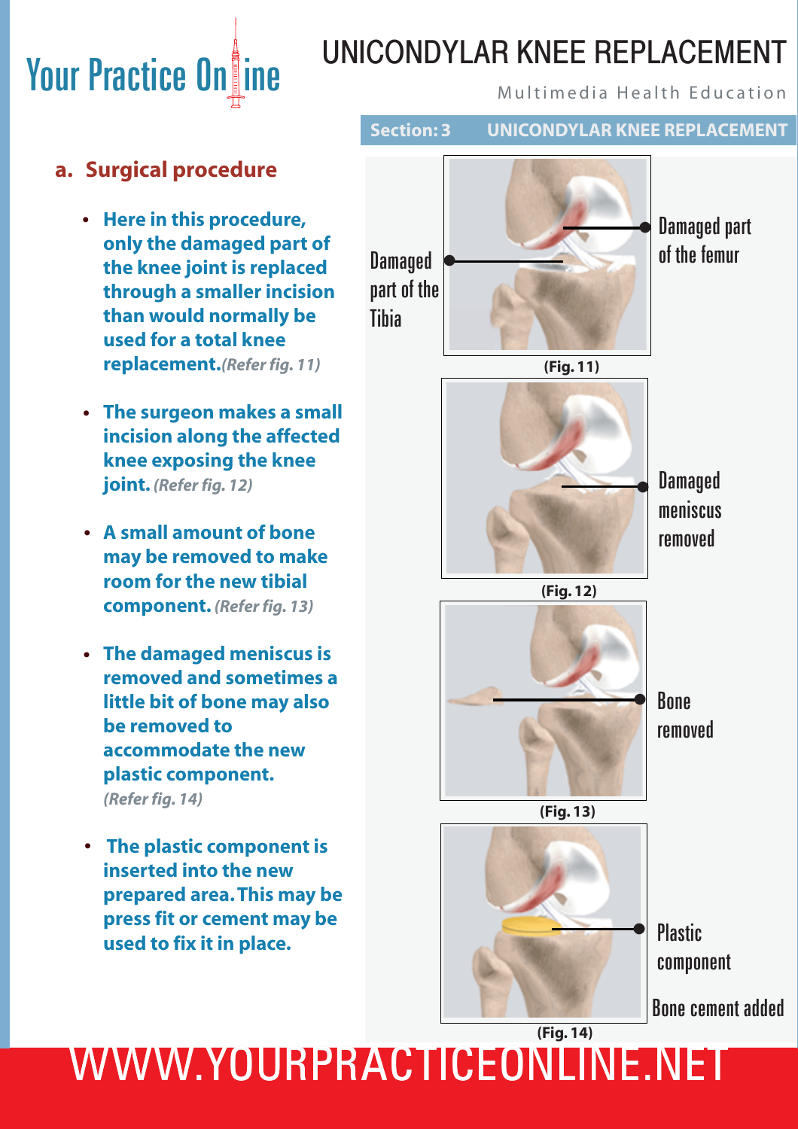# **Your Practice Online WINDOND LATE INTERNATION PRACTICE ON AUTOMOBILE PROPERTY PROPERTY**

### UNICONDYLAR KNEE REPLACEMENT

**Section: 3 UNICONDYLAR KNEE REPLACEMENT**

### **a. Surgical procedure**

- **Here in this procedure, • only the damaged part of the knee joint is replaced through a smaller incision than would normally be used for a total knee replacement.***(Refer fig. 11)*
- **The surgeon makes a small • incision along the affected knee exposing the knee joint.** *(Refer fig. 12)*
- **A small amount of bone • may be removed to make room for the new tibial component.** *(Refer fig. 13)*
- **The damaged meniscus is • removed and sometimes a little bit of bone may also be removed to accommodate the new plastic component.**  *(Refer fig. 14)*
- **The plastic component is • inserted into the new prepared area. This may be press fit or cement may be used to fix it in place.**

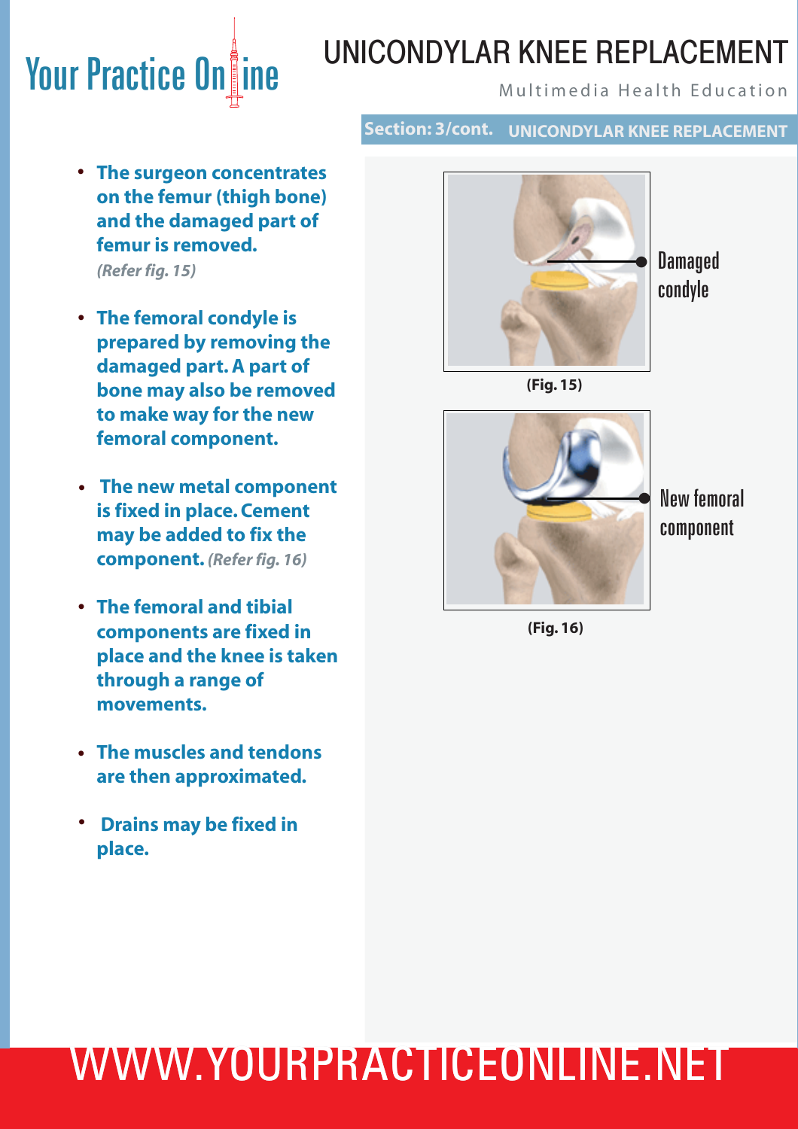### UNICONDYLAR KNEE REPLACEMENT

#### **Section: 3/cont. UNICONDYLAR KNEE REPLACEMENT**

- **The surgeon concentrates • on the femur (thigh bone) and the damaged part of femur is removed.**   *(Refer fig. 15)*
- **The femoral condyle is • prepared by removing the damaged part. A part of bone may also be removed to make way for the new femoral component.**
- **The new metal component • is fixed in place. Cement may be added to fix the component.** *(Refer fig. 16)*
- **The femoral and tibial • components are fixed in place and the knee is taken through a range of movements.**
- **The muscles and tendons • are then approximated.**
- **•** Drains may be fixed in  **place.**



**Damaged** condyle





New femoral component

**(Fig. 16)**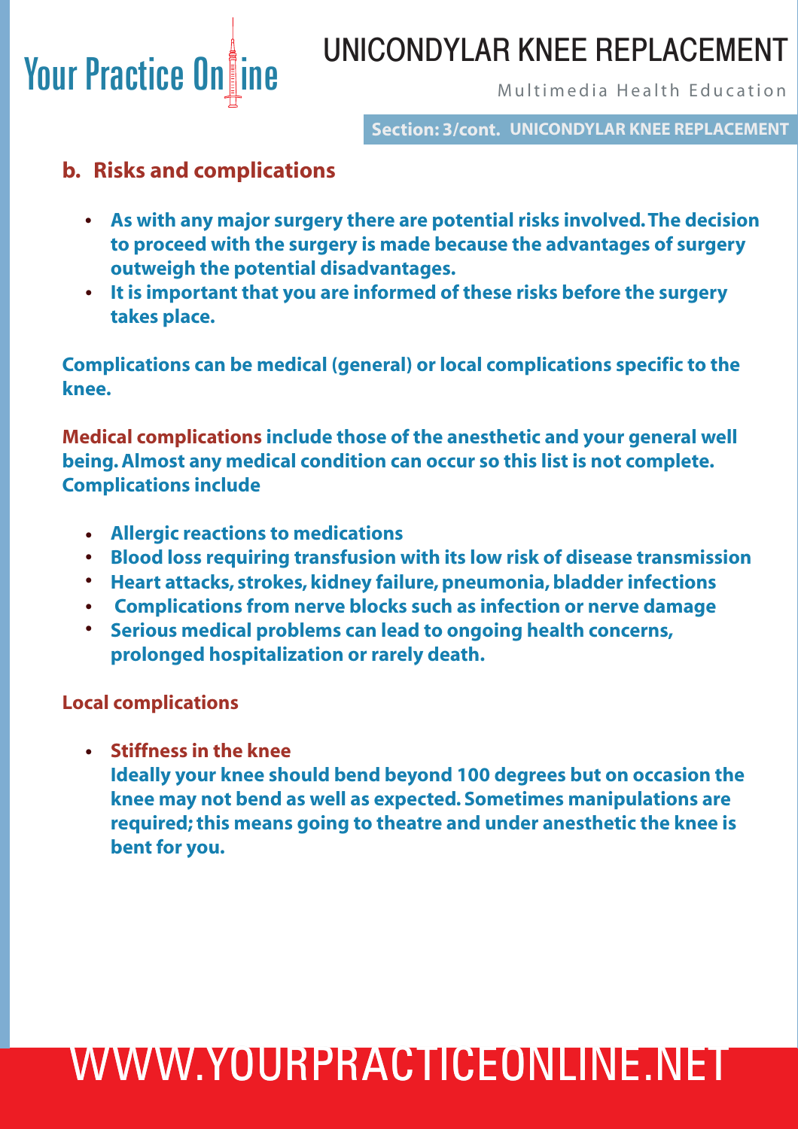### UNICONDYLAR KNEE REPLACEMENT

**Section: 3/cont. UNICONDYLAR KNEE REPLACEMENT**

### **b. Risks and complications**

- **As with any major surgery there are potential risks involved. The decision • to proceed with the surgery is made because the advantages of surgery outweigh the potential disadvantages.**
- **It is important that you are informed of these risks before the surgery • takes place.**

**Complications can be medical (general) or local complications specific to the knee.**

**Medical complications include those of the anesthetic and your general well being. Almost any medical condition can occur so this list is not complete. Complications include**

- **Allergic reactions to medications •**
	- **Blood loss requiring transfusion with its low risk of disease transmission •**
	- **Heart attacks, strokes, kidney failure, pneumonia, bladder infections •**
	- **Complications from nerve blocks such as infection or nerve damage •**
	- **Serious medical problems can lead to ongoing health concerns, prolonged hospitalization or rarely death. •**

**Local complications**

**Stiffness in the knee •**

 **Ideally your knee should bend beyond 100 degrees but on occasion the knee may not bend as well as expected. Sometimes manipulations are required; this means going to theatre and under anesthetic the knee is bent for you.**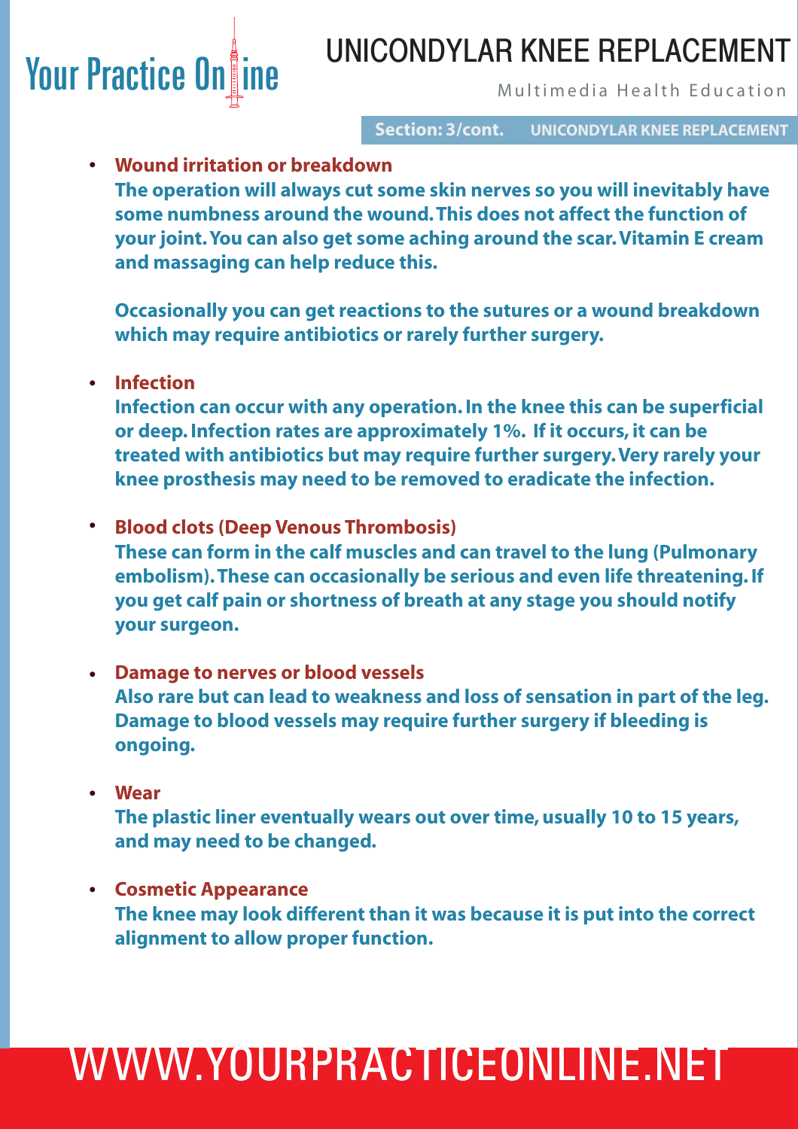### UNICONDYLAR KNEE REPLACEMENT

**Section: 3/cont. UNICONDYLAR KNEE REPLACEMENT**

**Wound irritation or breakdown • The operation will always cut some skin nerves so you will inevitably have some numbness around the wound. This does not affect the function of your joint. You can also get some aching around the scar. Vitamin E cream and massaging can help reduce this.** 

 **Occasionally you can get reactions to the sutures or a wound breakdown which may require antibiotics or rarely further surgery.**

**Infection •**

 **Infection can occur with any operation. In the knee this can be superficial or deep. Infection rates are approximately 1%. If it occurs, it can be treated with antibiotics but may require further surgery. Very rarely your knee prosthesis may need to be removed to eradicate the infection.** 

- **Blood clots (Deep Venous Thrombosis) • These can form in the calf muscles and can travel to the lung (Pulmonary embolism). These can occasionally be serious and even life threatening. If you get calf pain or shortness of breath at any stage you should notify your surgeon.**
- **Damage to nerves or blood vessels • Also rare but can lead to weakness and loss of sensation in part of the leg. Damage to blood vessels may require further surgery if bleeding is ongoing.**
- **Wear • The plastic liner eventually wears out over time, usually 10 to 15 years, and may need to be changed.**
- **Cosmetic Appearance • The knee may look different than it was because it is put into the correct alignment to allow proper function.**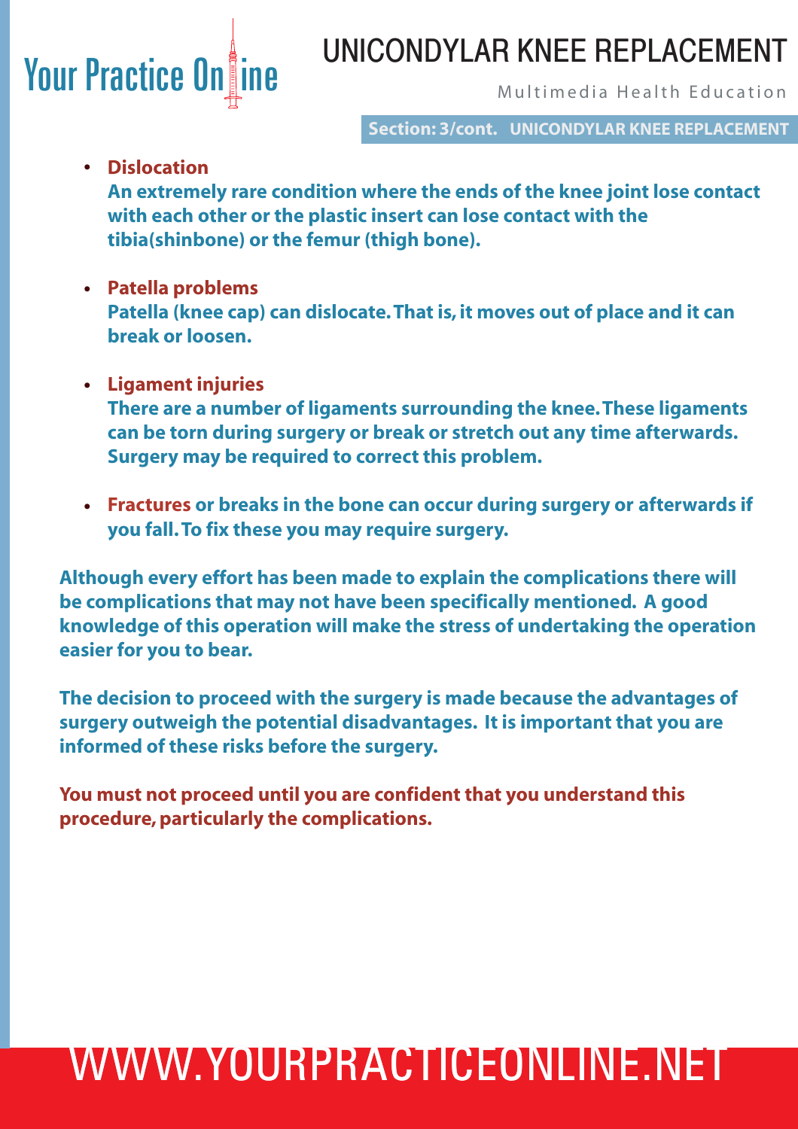### Your Practice Online Multimedia Health Education UNICONDYLAR KNEE REPLACEMENT

**Section: 3/cont. UNICONDYLAR KNEE REPLACEMENT**

**Dislocation •**

 **An extremely rare condition where the ends of the knee joint lose contact with each other or the plastic insert can lose contact with the tibia(shinbone) or the femur (thigh bone).** 

- **Patella problems • Patella (knee cap) can dislocate. That is, it moves out of place and it can break or loosen.**
- **Ligament injuries • There are a number of ligaments surrounding the knee. These ligaments can be torn during surgery or break or stretch out any time afterwards. Surgery may be required to correct this problem.**
- **Fractures or breaks in the bone can occur during surgery or afterwards if • you fall. To fix these you may require surgery.**

**Although every effort has been made to explain the complications there will be complications that may not have been specifically mentioned. A good knowledge of this operation will make the stress of undertaking the operation easier for you to bear.** 

**The decision to proceed with the surgery is made because the advantages of surgery outweigh the potential disadvantages. It is important that you are informed of these risks before the surgery.**

**You must not proceed until you are confident that you understand this procedure, particularly the complications.**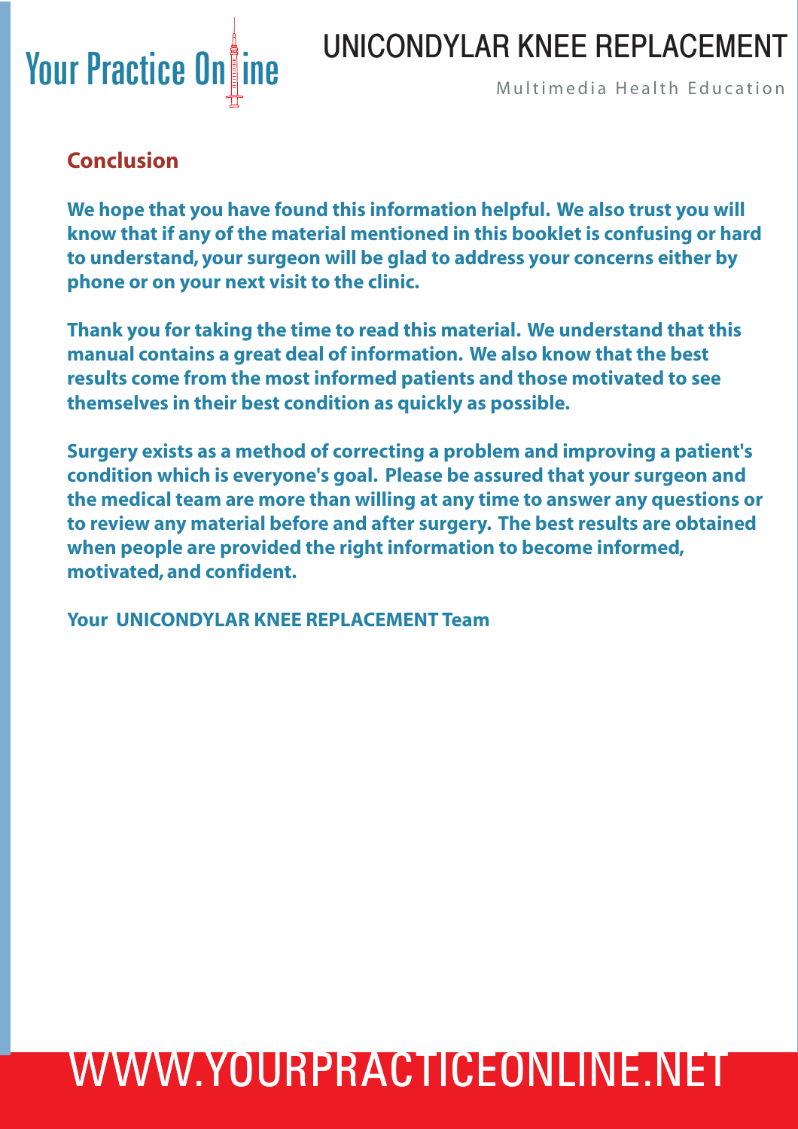### UNICONDYLAR KNEE REPLACEMENT



### **Conclusion**

**We hope that you have found this information helpful. We also trust you will know that if any of the material mentioned in this booklet is confusing or hard to understand, your surgeon will be glad to address your concerns either by phone or on your next visit to the clinic.**

**Thank you for taking the time to read this material. We understand that this manual contains a great deal of information. We also know that the best results come from the most informed patients and those motivated to see themselves in their best condition as quickly as possible.**

**Surgery exists as a method of correcting a problem and improving a patient's condition which is everyone's goal. Please be assured that your surgeon and the medical team are more than willing at any time to answer any questions or to review any material before and after surgery. The best results are obtained when people are provided the right information to become informed, motivated, and confident.**

**Your UNICONDYLAR KNEE REPLACEMENT Team**

# WWW.YOURPRACTICEONLINE.NET WWW.YOURPRACTICEONLINE.NET